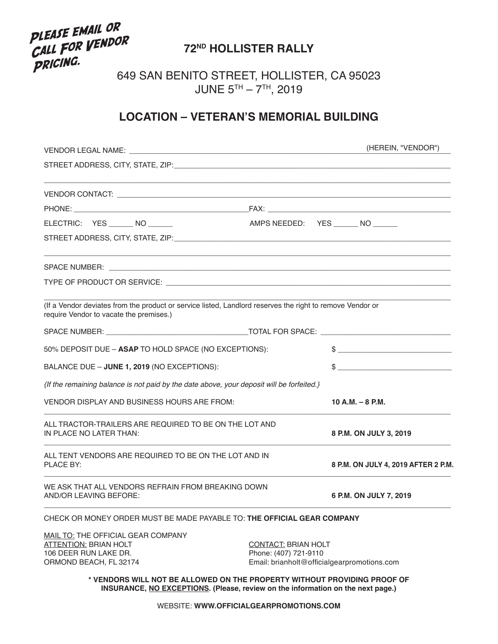# PLEASE EMAIL OR PLEASE EMAIL ON<br>CALL FOR VENDOR **PRICING.**

## **72ND HOLLISTER RALLY**

649 SAN BENITO STREET, HOLLISTER, CA 95023 JUNE 5TH – 7TH, 2019

### **LOCATION – VETERAN'S MEMORIAL BUILDING**

| VENDOR LEGAL NAME: WE ARE A SERVED ON A SERVED ON A SERVED ON A SERVED ON A SERVED ON A SERVED ON A SERVED ON A SERVED ON A SERVED ON A SERVED ON A SERVED ON A SERVED ON A SERVED ON A SERVED ON A SERVED ON A SERVED ON A SE |                                                     | (HEREIN, "VENDOR")                          |
|--------------------------------------------------------------------------------------------------------------------------------------------------------------------------------------------------------------------------------|-----------------------------------------------------|---------------------------------------------|
|                                                                                                                                                                                                                                |                                                     |                                             |
|                                                                                                                                                                                                                                |                                                     |                                             |
|                                                                                                                                                                                                                                |                                                     |                                             |
| ELECTRIC: YES _______ NO ______                                                                                                                                                                                                | AMPS NEEDED: YES _______ NO ______                  |                                             |
|                                                                                                                                                                                                                                |                                                     |                                             |
|                                                                                                                                                                                                                                |                                                     |                                             |
|                                                                                                                                                                                                                                |                                                     |                                             |
| (If a Vendor deviates from the product or service listed, Landlord reserves the right to remove Vendor or<br>require Vendor to vacate the premises.)                                                                           |                                                     |                                             |
|                                                                                                                                                                                                                                |                                                     |                                             |
| 50% DEPOSIT DUE - ASAP TO HOLD SPACE (NO EXCEPTIONS):                                                                                                                                                                          |                                                     | $\frac{1}{2}$                               |
| BALANCE DUE - JUNE 1, 2019 (NO EXCEPTIONS):                                                                                                                                                                                    |                                                     | $\frac{1}{2}$                               |
| {If the remaining balance is not paid by the date above, your deposit will be forfeited.}                                                                                                                                      |                                                     |                                             |
| VENDOR DISPLAY AND BUSINESS HOURS ARE FROM:                                                                                                                                                                                    |                                                     | $10 A.M. - 8 P.M.$                          |
| ALL TRACTOR-TRAILERS ARE REQUIRED TO BE ON THE LOT AND<br>IN PLACE NO LATER THAN:                                                                                                                                              |                                                     | 8 P.M. ON JULY 3, 2019                      |
| ALL TENT VENDORS ARE REQUIRED TO BE ON THE LOT AND IN<br><b>PLACE BY:</b>                                                                                                                                                      |                                                     | 8 P.M. ON JULY 4, 2019 AFTER 2 P.M.         |
| WE ASK THAT ALL VENDORS REFRAIN FROM BREAKING DOWN<br>AND/OR LEAVING BEFORE:                                                                                                                                                   |                                                     | 6 P.M. ON JULY 7, 2019                      |
| CHECK OR MONEY ORDER MUST BE MADE PAYABLE TO: THE OFFICIAL GEAR COMPANY                                                                                                                                                        |                                                     |                                             |
| MAIL TO: THE OFFICIAL GEAR COMPANY<br><b>ATTENTION: BRIAN HOLT</b><br>106 DEER RUN LAKE DR.                                                                                                                                    | <b>CONTACT: BRIAN HOLT</b><br>Phone: (407) 721-9110 |                                             |
| ORMOND BEACH, FL 32174<br>* VENDORS WILL NOT BE ALLOWED ON THE PROPERTY WITHOUT PROVIDING PROOF OF<br>INSURANCE, NO EXCEPTIONS. (Please, review on the information on the next page.)                                          |                                                     | Email: brianholt@officialgearpromotions.com |

WEBSITE: **WWW.OFFICIALGEARPROMOTIONS.COM**